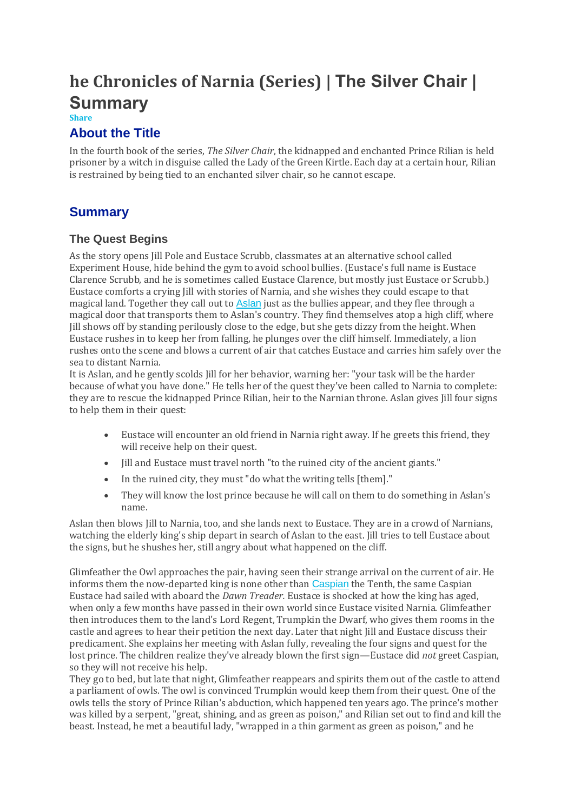# **he Chronicles of Narnia (Series) | The Silver Chair | Summary**

### **Share**

## **About the Title**

In the fourth book of the series, *The Silver Chair*, the kidnapped and enchanted Prince Rilian is held prisoner by a witch in disguise called the Lady of the Green Kirtle. Each day at a certain hour, Rilian is restrained by being tied to an enchanted silver chair, so he cannot escape.

# **Summary**

### **The Quest Begins**

As the story opens Jill Pole and Eustace Scrubb, classmates at an alternative school called Experiment House, hide behind the gym to avoid school bullies. (Eustace's full name is Eustace Clarence Scrubb, and he is sometimes called Eustace Clarence, but mostly just Eustace or Scrubb.) Eustace comforts a crying Jill with stories of Narnia, and she wishes they could escape to that magical land. Together they call out to [Aslan](https://www.coursehero.com/lit/The-Chronicles-of-Narnia-Series/character-analysis/#Aslan) just as the bullies appear, and they flee through a magical door that transports them to Aslan's country. They find themselves atop a high cliff, where Jill shows off by standing perilously close to the edge, but she gets dizzy from the height. When Eustace rushes in to keep her from falling, he plunges over the cliff himself. Immediately, a lion rushes onto the scene and blows a current of air that catches Eustace and carries him safely over the sea to distant Narnia.

It is Aslan, and he gently scolds Jill for her behavior, warning her: "your task will be the harder because of what you have done." He tells her of the quest they've been called to Narnia to complete: they are to rescue the kidnapped Prince Rilian, heir to the Narnian throne. Aslan gives Jill four signs to help them in their quest:

- Eustace will encounter an old friend in Narnia right away. If he greets this friend, they will receive help on their quest.
- Jill and Eustace must travel north "to the ruined city of the ancient giants."
- In the ruined city, they must "do what the writing tells [them]."
- They will know the lost prince because he will call on them to do something in Aslan's name.

Aslan then blows Jill to Narnia, too, and she lands next to Eustace. They are in a crowd of Narnians, watching the elderly king's ship depart in search of Aslan to the east. Jill tries to tell Eustace about the signs, but he shushes her, still angry about what happened on the cliff.

Glimfeather the Owl approaches the pair, having seen their strange arrival on the current of air. He informs them the now-departed king is none other than [Caspian](https://www.coursehero.com/lit/The-Chronicles-of-Narnia-Series/character-analysis/#Caspian) the Tenth, the same Caspian Eustace had sailed with aboard the *Dawn Treader.* Eustace is shocked at how the king has aged, when only a few months have passed in their own world since Eustace visited Narnia. Glimfeather then introduces them to the land's Lord Regent, Trumpkin the Dwarf, who gives them rooms in the castle and agrees to hear their petition the next day. Later that night Jill and Eustace discuss their predicament. She explains her meeting with Aslan fully, revealing the four signs and quest for the lost prince. The children realize they've already blown the first sign—Eustace did *not* greet Caspian, so they will not receive his help.

They go to bed, but late that night, Glimfeather reappears and spirits them out of the castle to attend a parliament of owls. The owl is convinced Trumpkin would keep them from their quest. One of the owls tells the story of Prince Rilian's abduction, which happened ten years ago. The prince's mother was killed by a serpent, "great, shining, and as green as poison," and Rilian set out to find and kill the beast. Instead, he met a beautiful lady, "wrapped in a thin garment as green as poison," and he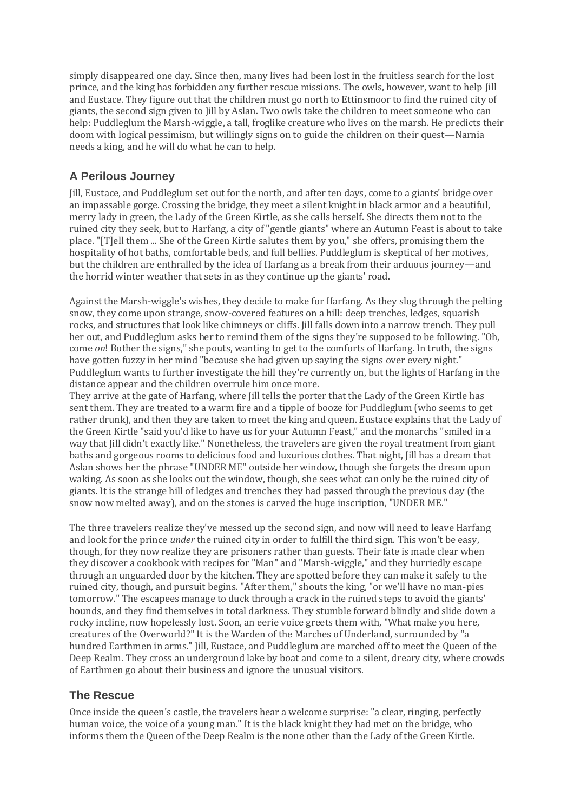simply disappeared one day. Since then, many lives had been lost in the fruitless search for the lost prince, and the king has forbidden any further rescue missions. The owls, however, want to help Jill and Eustace. They figure out that the children must go north to Ettinsmoor to find the ruined city of giants, the second sign given to Jill by Aslan. Two owls take the children to meet someone who can help: Puddleglum the Marsh-wiggle, a tall, froglike creature who lives on the marsh. He predicts their doom with logical pessimism, but willingly signs on to guide the children on their quest—Narnia needs a king, and he will do what he can to help.

## **A Perilous Journey**

Jill, Eustace, and Puddleglum set out for the north, and after ten days, come to a giants' bridge over an impassable gorge. Crossing the bridge, they meet a silent knight in black armor and a beautiful, merry lady in green, the Lady of the Green Kirtle, as she calls herself. She directs them not to the ruined city they seek, but to Harfang, a city of "gentle giants" where an Autumn Feast is about to take place. "[T]ell them ... She of the Green Kirtle salutes them by you," she offers, promising them the hospitality of hot baths, comfortable beds, and full bellies. Puddleglum is skeptical of her motives, but the children are enthralled by the idea of Harfang as a break from their arduous journey—and the horrid winter weather that sets in as they continue up the giants' road.

Against the Marsh-wiggle's wishes, they decide to make for Harfang. As they slog through the pelting snow, they come upon strange, snow-covered features on a hill: deep trenches, ledges, squarish rocks, and structures that look like chimneys or cliffs. Jill falls down into a narrow trench. They pull her out, and Puddleglum asks her to remind them of the signs they're supposed to be following. "Oh, come *on*! Bother the signs," she pouts, wanting to get to the comforts of Harfang. In truth, the signs have gotten fuzzy in her mind "because she had given up saying the signs over every night." Puddleglum wants to further investigate the hill they're currently on, but the lights of Harfang in the distance appear and the children overrule him once more.

They arrive at the gate of Harfang, where Jill tells the porter that the Lady of the Green Kirtle has sent them. They are treated to a warm fire and a tipple of booze for Puddleglum (who seems to get rather drunk), and then they are taken to meet the king and queen. Eustace explains that the Lady of the Green Kirtle "said you'd like to have us for your Autumn Feast," and the monarchs "smiled in a way that Jill didn't exactly like." Nonetheless, the travelers are given the royal treatment from giant baths and gorgeous rooms to delicious food and luxurious clothes. That night, Jill has a dream that Aslan shows her the phrase "UNDER ME" outside her window, though she forgets the dream upon waking. As soon as she looks out the window, though, she sees what can only be the ruined city of giants. It is the strange hill of ledges and trenches they had passed through the previous day (the snow now melted away), and on the stones is carved the huge inscription, "UNDER ME."

The three travelers realize they've messed up the second sign, and now will need to leave Harfang and look for the prince *under* the ruined city in order to fulfill the third sign. This won't be easy, though, for they now realize they are prisoners rather than guests. Their fate is made clear when they discover a cookbook with recipes for "Man" and "Marsh-wiggle," and they hurriedly escape through an unguarded door by the kitchen. They are spotted before they can make it safely to the ruined city, though, and pursuit begins. "After them," shouts the king, "or we'll have no man-pies tomorrow." The escapees manage to duck through a crack in the ruined steps to avoid the giants' hounds, and they find themselves in total darkness. They stumble forward blindly and slide down a rocky incline, now hopelessly lost. Soon, an eerie voice greets them with, "What make you here, creatures of the Overworld?" It is the Warden of the Marches of Underland, surrounded by "a hundred Earthmen in arms." Jill, Eustace, and Puddleglum are marched off to meet the Queen of the Deep Realm. They cross an underground lake by boat and come to a silent, dreary city, where crowds of Earthmen go about their business and ignore the unusual visitors.

## **The Rescue**

Once inside the queen's castle, the travelers hear a welcome surprise: "a clear, ringing, perfectly human voice, the voice of a young man." It is the black knight they had met on the bridge, who informs them the Queen of the Deep Realm is the none other than the Lady of the Green Kirtle.